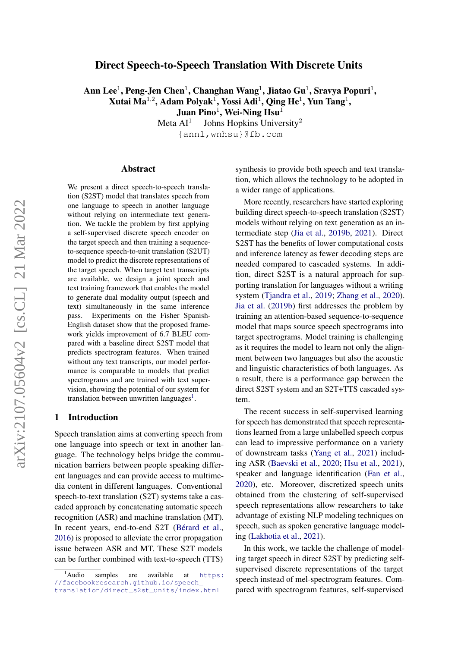## <span id="page-0-1"></span>Direct Speech-to-Speech Translation With Discrete Units

Ann Lee $^1$ , Peng-Jen Chen $^1$ , Changhan Wang $^1$ , Jiatao Gu $^1$ , Sravya Popuri $^1,$ Xutai Ma $^{1,2}$ , Adam Polyak $^1$ , Yossi Adi $^1$ , Qing He $^1$ , Yun Tang $^1$ , Juan Pino $^1$ , Wei-Ning Hsu $^1$ 

> Meta  $AI<sup>1</sup>$ Johns Hopkins University<sup>2</sup> {annl,wnhsu}@fb.com

#### Abstract

We present a direct speech-to-speech translation (S2ST) model that translates speech from one language to speech in another language without relying on intermediate text generation. We tackle the problem by first applying a self-supervised discrete speech encoder on the target speech and then training a sequenceto-sequence speech-to-unit translation (S2UT) model to predict the discrete representations of the target speech. When target text transcripts are available, we design a joint speech and text training framework that enables the model to generate dual modality output (speech and text) simultaneously in the same inference pass. Experiments on the Fisher Spanish-English dataset show that the proposed framework yields improvement of 6.7 BLEU compared with a baseline direct S2ST model that predicts spectrogram features. When trained without any text transcripts, our model performance is comparable to models that predict spectrograms and are trained with text supervision, showing the potential of our system for translation between unwritten languages<sup>[1](#page-0-0)</sup>.

## 1 Introduction

Speech translation aims at converting speech from one language into speech or text in another language. The technology helps bridge the communication barriers between people speaking different languages and can provide access to multimedia content in different languages. Conventional speech-to-text translation (S2T) systems take a cascaded approach by concatenating automatic speech recognition (ASR) and machine translation (MT). In recent years, end-to-end S2T [\(Bérard et al.,](#page-8-0) [2016\)](#page-8-0) is proposed to alleviate the error propagation issue between ASR and MT. These S2T models can be further combined with text-to-speech (TTS)

synthesis to provide both speech and text translation, which allows the technology to be adopted in a wider range of applications.

More recently, researchers have started exploring building direct speech-to-speech translation (S2ST) models without relying on text generation as an intermediate step [\(Jia et al.,](#page-9-0) [2019b,](#page-9-0) [2021\)](#page-9-1). Direct S2ST has the benefits of lower computational costs and inference latency as fewer decoding steps are needed compared to cascaded systems. In addition, direct S2ST is a natural approach for supporting translation for languages without a writing system [\(Tjandra et al.,](#page-10-0) [2019;](#page-10-0) [Zhang et al.,](#page-10-1) [2020\)](#page-10-1). [Jia et al.](#page-9-0) [\(2019b\)](#page-9-0) first addresses the problem by training an attention-based sequence-to-sequence model that maps source speech spectrograms into target spectrograms. Model training is challenging as it requires the model to learn not only the alignment between two languages but also the acoustic and linguistic characteristics of both languages. As a result, there is a performance gap between the direct S2ST system and an S2T+TTS cascaded system.

The recent success in self-supervised learning for speech has demonstrated that speech representations learned from a large unlabelled speech corpus can lead to impressive performance on a variety of downstream tasks [\(Yang et al.,](#page-10-2) [2021\)](#page-10-2) including ASR [\(Baevski et al.,](#page-8-1) [2020;](#page-8-1) [Hsu et al.,](#page-8-2) [2021\)](#page-8-2), speaker and language identification [\(Fan et al.,](#page-8-3) [2020\)](#page-8-3), etc. Moreover, discretized speech units obtained from the clustering of self-supervised speech representations allow researchers to take advantage of existing NLP modeling techniques on speech, such as spoken generative language modeling [\(Lakhotia et al.,](#page-9-2) [2021\)](#page-9-2).

In this work, we tackle the challenge of modeling target speech in direct S2ST by predicting selfsupervised discrete representations of the target speech instead of mel-spectrogram features. Compared with spectrogram features, self-supervised

<span id="page-0-0"></span><sup>&</sup>lt;sup>1</sup>Audio samples are available at [https:](https://facebookresearch.github.io/speech_translation/direct_s2st_units/index.html) [//facebookresearch.github.io/speech\\_](https://facebookresearch.github.io/speech_translation/direct_s2st_units/index.html) [translation/direct\\_s2st\\_units/index.html](https://facebookresearch.github.io/speech_translation/direct_s2st_units/index.html)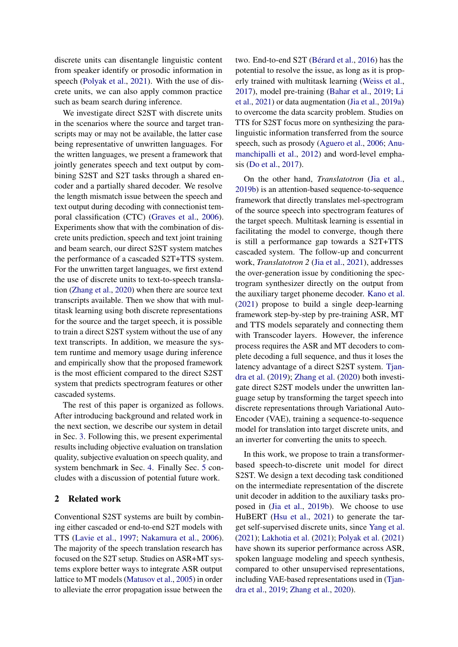discrete units can disentangle linguistic content from speaker identify or prosodic information in speech [\(Polyak et al.,](#page-9-3) [2021\)](#page-9-3). With the use of discrete units, we can also apply common practice such as beam search during inference.

We investigate direct S2ST with discrete units in the scenarios where the source and target transcripts may or may not be available, the latter case being representative of unwritten languages. For the written languages, we present a framework that jointly generates speech and text output by combining S2ST and S2T tasks through a shared encoder and a partially shared decoder. We resolve the length mismatch issue between the speech and text output during decoding with connectionist temporal classification (CTC) [\(Graves et al.,](#page-8-4) [2006\)](#page-8-4). Experiments show that with the combination of discrete units prediction, speech and text joint training and beam search, our direct S2ST system matches the performance of a cascaded S2T+TTS system. For the unwritten target languages, we first extend the use of discrete units to text-to-speech translation [\(Zhang et al.,](#page-10-1) [2020\)](#page-10-1) when there are source text transcripts available. Then we show that with multitask learning using both discrete representations for the source and the target speech, it is possible to train a direct S2ST system without the use of any text transcripts. In addition, we measure the system runtime and memory usage during inference and empirically show that the proposed framework is the most efficient compared to the direct S2ST system that predicts spectrogram features or other cascaded systems.

The rest of this paper is organized as follows. After introducing background and related work in the next section, we describe our system in detail in Sec. [3.](#page-2-0) Following this, we present experimental results including objective evaluation on translation quality, subjective evaluation on speech quality, and system benchmark in Sec. [4.](#page-3-0) Finally Sec. [5](#page-8-5) concludes with a discussion of potential future work.

## 2 Related work

Conventional S2ST systems are built by combining either cascaded or end-to-end S2T models with TTS [\(Lavie et al.,](#page-9-4) [1997;](#page-9-4) [Nakamura et al.,](#page-9-5) [2006\)](#page-9-5). The majority of the speech translation research has focused on the S2T setup. Studies on ASR+MT systems explore better ways to integrate ASR output lattice to MT models [\(Matusov et al.,](#page-9-6) [2005\)](#page-9-6) in order to alleviate the error propagation issue between the

two. End-to-end S2T [\(Bérard et al.,](#page-8-0) [2016\)](#page-8-0) has the potential to resolve the issue, as long as it is properly trained with multitask learning [\(Weiss et al.,](#page-10-3) [2017\)](#page-10-3), model pre-training [\(Bahar et al.,](#page-8-6) [2019;](#page-8-6) [Li](#page-9-7) [et al.,](#page-9-7) [2021\)](#page-9-7) or data augmentation [\(Jia et al.,](#page-8-7) [2019a\)](#page-8-7) to overcome the data scarcity problem. Studies on TTS for S2ST focus more on synthesizing the paralinguistic information transferred from the source speech, such as prosody [\(Aguero et al.,](#page-8-8) [2006;](#page-8-8) [Anu](#page-8-9)[manchipalli et al.,](#page-8-9) [2012\)](#page-8-9) and word-level emphasis [\(Do et al.,](#page-8-10) [2017\)](#page-8-10).

On the other hand, *Translatotron* [\(Jia et al.,](#page-9-0) [2019b\)](#page-9-0) is an attention-based sequence-to-sequence framework that directly translates mel-spectrogram of the source speech into spectrogram features of the target speech. Multitask learning is essential in facilitating the model to converge, though there is still a performance gap towards a S2T+TTS cascaded system. The follow-up and concurrent work, *Translatotron 2* [\(Jia et al.,](#page-9-1) [2021\)](#page-9-1), addresses the over-generation issue by conditioning the spectrogram synthesizer directly on the output from the auxiliary target phoneme decoder. [Kano et al.](#page-9-8) [\(2021\)](#page-9-8) propose to build a single deep-learning framework step-by-step by pre-training ASR, MT and TTS models separately and connecting them with Transcoder layers. However, the inference process requires the ASR and MT decoders to complete decoding a full sequence, and thus it loses the latency advantage of a direct S2ST system. [Tjan](#page-10-0)[dra et al.](#page-10-0) [\(2019\)](#page-10-0); [Zhang et al.](#page-10-1) [\(2020\)](#page-10-1) both investigate direct S2ST models under the unwritten language setup by transforming the target speech into discrete representations through Variational Auto-Encoder (VAE), training a sequence-to-sequence model for translation into target discrete units, and an inverter for converting the units to speech.

In this work, we propose to train a transformerbased speech-to-discrete unit model for direct S2ST. We design a text decoding task conditioned on the intermediate representation of the discrete unit decoder in addition to the auxiliary tasks proposed in [\(Jia et al.,](#page-9-0) [2019b\)](#page-9-0). We choose to use HuBERT [\(Hsu et al.,](#page-8-2) [2021\)](#page-8-2) to generate the target self-supervised discrete units, since [Yang et al.](#page-10-2) [\(2021\)](#page-10-2); [Lakhotia et al.](#page-9-2) [\(2021\)](#page-9-2); [Polyak et al.](#page-9-3) [\(2021\)](#page-9-3) have shown its superior performance across ASR, spoken language modeling and speech synthesis, compared to other unsupervised representations, including VAE-based representations used in [\(Tjan](#page-10-0)[dra et al.,](#page-10-0) [2019;](#page-10-0) [Zhang et al.,](#page-10-1) [2020\)](#page-10-1).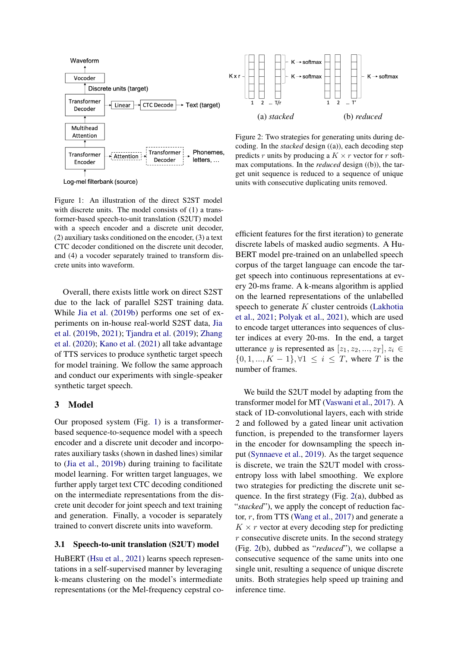

Log-mel filterbank (source)

Figure 1: An illustration of the direct S2ST model with discrete units. The model consists of (1) a transformer-based speech-to-unit translation (S2UT) model with a speech encoder and a discrete unit decoder, (2) auxiliary tasks conditioned on the encoder, (3) a text CTC decoder conditioned on the discrete unit decoder, and (4) a vocoder separately trained to transform discrete units into waveform.

<span id="page-2-1"></span>Overall, there exists little work on direct S2ST due to the lack of parallel S2ST training data. While [Jia et al.](#page-9-0) [\(2019b\)](#page-9-0) performs one set of experiments on in-house real-world S2ST data, [Jia](#page-9-0) [et al.](#page-9-0) [\(2019b,](#page-9-0) [2021\)](#page-9-1); [Tjandra et al.](#page-10-0) [\(2019\)](#page-10-0); [Zhang](#page-10-1) [et al.](#page-10-1) [\(2020\)](#page-10-1); [Kano et al.](#page-9-8) [\(2021\)](#page-9-8) all take advantage of TTS services to produce synthetic target speech for model training. We follow the same approach and conduct our experiments with single-speaker synthetic target speech.

#### <span id="page-2-0"></span>3 Model

Our proposed system (Fig. [1\)](#page-2-1) is a transformerbased sequence-to-sequence model with a speech encoder and a discrete unit decoder and incorporates auxiliary tasks (shown in dashed lines) similar to [\(Jia et al.,](#page-9-0) [2019b\)](#page-9-0) during training to facilitate model learning. For written target languages, we further apply target text CTC decoding conditioned on the intermediate representations from the discrete unit decoder for joint speech and text training and generation. Finally, a vocoder is separately trained to convert discrete units into waveform.

### 3.1 Speech-to-unit translation (S2UT) model

HuBERT [\(Hsu et al.,](#page-8-2) [2021\)](#page-8-2) learns speech representations in a self-supervised manner by leveraging k-means clustering on the model's intermediate representations (or the Mel-frequency cepstral co-

<span id="page-2-2"></span>

Figure 2: Two strategies for generating units during decoding. In the *stacked* design ((a)), each decoding step predicts r units by producing a  $K \times r$  vector for r softmax computations. In the *reduced* design ((b)), the target unit sequence is reduced to a sequence of unique units with consecutive duplicating units removed.

efficient features for the first iteration) to generate discrete labels of masked audio segments. A Hu-BERT model pre-trained on an unlabelled speech corpus of the target language can encode the target speech into continuous representations at every 20-ms frame. A k-means algorithm is applied on the learned representations of the unlabelled speech to generate  $K$  cluster centroids [\(Lakhotia](#page-9-2) [et al.,](#page-9-2) [2021;](#page-9-2) [Polyak et al.,](#page-9-3) [2021\)](#page-9-3), which are used to encode target utterances into sequences of cluster indices at every 20-ms. In the end, a target utterance y is represented as  $[z_1, z_2, ..., z_T], z_i \in$  $\{0, 1, ..., K - 1\}, \forall 1 \leq i \leq T$ , where T is the number of frames.

We build the S2UT model by adapting from the transformer model for MT [\(Vaswani et al.,](#page-10-4) [2017\)](#page-10-4). A stack of 1D-convolutional layers, each with stride 2 and followed by a gated linear unit activation function, is prepended to the transformer layers in the encoder for downsampling the speech input [\(Synnaeve et al.,](#page-9-9) [2019\)](#page-9-9). As the target sequence is discrete, we train the S2UT model with crossentropy loss with label smoothing. We explore two strategies for predicting the discrete unit sequence. In the first strategy (Fig. [2\(](#page-2-2)a), dubbed as "*stacked*"), we apply the concept of reduction factor, r, from TTS [\(Wang et al.,](#page-10-5) [2017\)](#page-10-5) and generate a  $K \times r$  vector at every decoding step for predicting  $r$  consecutive discrete units. In the second strategy (Fig. [2\(](#page-2-2)b), dubbed as "*reduced*"), we collapse a consecutive sequence of the same units into one single unit, resulting a sequence of unique discrete units. Both strategies help speed up training and inference time.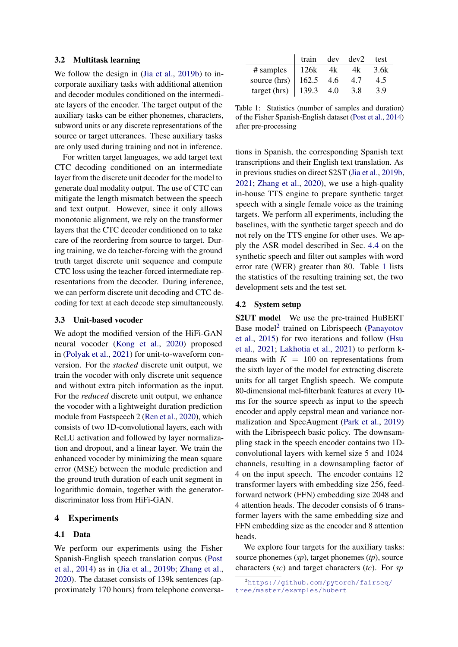#### 3.2 Multitask learning

We follow the design in [\(Jia et al.,](#page-9-0) [2019b\)](#page-9-0) to incorporate auxiliary tasks with additional attention and decoder modules conditioned on the intermediate layers of the encoder. The target output of the auxiliary tasks can be either phonemes, characters, subword units or any discrete representations of the source or target utterances. These auxiliary tasks are only used during training and not in inference.

For written target languages, we add target text CTC decoding conditioned on an intermediate layer from the discrete unit decoder for the model to generate dual modality output. The use of CTC can mitigate the length mismatch between the speech and text output. However, since it only allows monotonic alignment, we rely on the transformer layers that the CTC decoder conditioned on to take care of the reordering from source to target. During training, we do teacher-forcing with the ground truth target discrete unit sequence and compute CTC loss using the teacher-forced intermediate representations from the decoder. During inference, we can perform discrete unit decoding and CTC decoding for text at each decode step simultaneously.

#### 3.3 Unit-based vocoder

We adopt the modified version of the HiFi-GAN neural vocoder [\(Kong et al.,](#page-9-10) [2020\)](#page-9-10) proposed in [\(Polyak et al.,](#page-9-3) [2021\)](#page-9-3) for unit-to-waveform conversion. For the *stacked* discrete unit output, we train the vocoder with only discrete unit sequence and without extra pitch information as the input. For the *reduced* discrete unit output, we enhance the vocoder with a lightweight duration prediction module from Fastspeech 2 [\(Ren et al.,](#page-9-11) [2020\)](#page-9-11), which consists of two 1D-convolutional layers, each with ReLU activation and followed by layer normalization and dropout, and a linear layer. We train the enhanced vocoder by minimizing the mean square error (MSE) between the module prediction and the ground truth duration of each unit segment in logarithmic domain, together with the generatordiscriminator loss from HiFi-GAN.

### <span id="page-3-0"></span>4 Experiments

## 4.1 Data

We perform our experiments using the Fisher Spanish-English speech translation corpus [\(Post](#page-9-12) [et al.,](#page-9-12) [2014\)](#page-9-12) as in [\(Jia et al.,](#page-9-0) [2019b;](#page-9-0) [Zhang et al.,](#page-10-1) [2020\)](#page-10-1). The dataset consists of 139k sentences (approximately 170 hours) from telephone conversa-

<span id="page-3-1"></span>

|              | train   |     | $dev$ $dev2$ | test |
|--------------|---------|-----|--------------|------|
| # samples    | 126k    | 4k  | 4k           | 3.6k |
| source (hrs) | 162.5   | 4.6 | 4.7          | 4.5  |
| target (hrs) | $139.3$ | 4.0 | 3.8          | 3.9  |

Table 1: Statistics (number of samples and duration) of the Fisher Spanish-English dataset [\(Post et al.,](#page-9-12) [2014\)](#page-9-12) after pre-processing

tions in Spanish, the corresponding Spanish text transcriptions and their English text translation. As in previous studies on direct S2ST [\(Jia et al.,](#page-9-0) [2019b,](#page-9-0) [2021;](#page-9-1) [Zhang et al.,](#page-10-1) [2020\)](#page-10-1), we use a high-quality in-house TTS engine to prepare synthetic target speech with a single female voice as the training targets. We perform all experiments, including the baselines, with the synthetic target speech and do not rely on the TTS engine for other uses. We apply the ASR model described in Sec. [4.4](#page-4-0) on the synthetic speech and filter out samples with word error rate (WER) greater than 80. Table [1](#page-3-1) lists the statistics of the resulting training set, the two development sets and the test set.

#### <span id="page-3-3"></span>4.2 System setup

S2UT model We use the pre-trained HuBERT Base model<sup>[2](#page-3-2)</sup> trained on Librispeech [\(Panayotov](#page-9-13) [et al.,](#page-9-13) [2015\)](#page-9-13) for two iterations and follow [\(Hsu](#page-8-2) [et al.,](#page-8-2) [2021;](#page-8-2) [Lakhotia et al.,](#page-9-2) [2021\)](#page-9-2) to perform kmeans with  $K = 100$  on representations from the sixth layer of the model for extracting discrete units for all target English speech. We compute 80-dimensional mel-filterbank features at every 10 ms for the source speech as input to the speech encoder and apply cepstral mean and variance normalization and SpecAugment [\(Park et al.,](#page-9-14) [2019\)](#page-9-14) with the Librispeech basic policy. The downsampling stack in the speech encoder contains two 1Dconvolutional layers with kernel size 5 and 1024 channels, resulting in a downsampling factor of 4 on the input speech. The encoder contains 12 transformer layers with embedding size 256, feedforward network (FFN) embedding size 2048 and 4 attention heads. The decoder consists of 6 transformer layers with the same embedding size and FFN embedding size as the encoder and 8 attention heads.

We explore four targets for the auxiliary tasks: source phonemes (*sp*), target phonemes (*tp*), source characters (*sc*) and target characters (*tc*). For *sp*

<span id="page-3-2"></span><sup>2</sup>[https://github.com/pytorch/fairseq/](https://github.com/pytorch/fairseq/tree/master/examples/hubert) [tree/master/examples/hubert](https://github.com/pytorch/fairseq/tree/master/examples/hubert)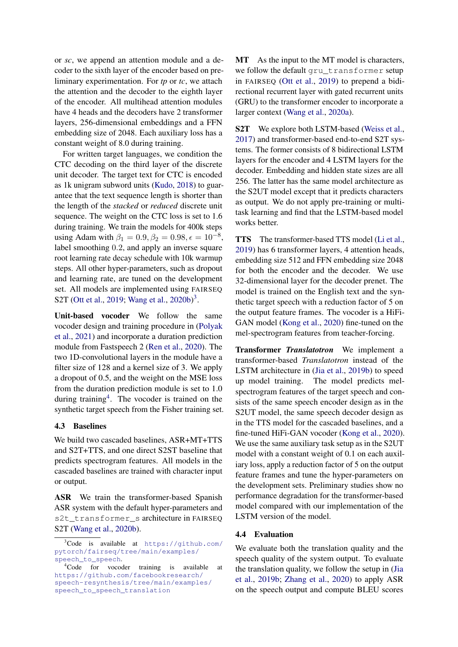or *sc*, we append an attention module and a decoder to the sixth layer of the encoder based on preliminary experimentation. For *tp* or *tc*, we attach the attention and the decoder to the eighth layer of the encoder. All multihead attention modules have 4 heads and the decoders have 2 transformer layers, 256-dimensional embeddings and a FFN embedding size of 2048. Each auxiliary loss has a constant weight of 8.0 during training.

For written target languages, we condition the CTC decoding on the third layer of the discrete unit decoder. The target text for CTC is encoded as 1k unigram subword units [\(Kudo,](#page-9-15) [2018\)](#page-9-15) to guarantee that the text sequence length is shorter than the length of the *stacked* or *reduced* discrete unit sequence. The weight on the CTC loss is set to 1.6 during training. We train the models for 400k steps using Adam with  $\beta_1 = 0.9, \beta_2 = 0.98, \epsilon = 10^{-8}$ , label smoothing 0.2, and apply an inverse square root learning rate decay schedule with 10k warmup steps. All other hyper-parameters, such as dropout and learning rate, are tuned on the development set. All models are implemented using FAIRSEQ S2T [\(Ott et al.,](#page-9-16) [2019;](#page-9-16) [Wang et al.,](#page-10-6) [2020b\)](#page-10-6)<sup>[3](#page-4-1)</sup>.

Unit-based vocoder We follow the same vocoder design and training procedure in [\(Polyak](#page-9-3) [et al.,](#page-9-3) [2021\)](#page-9-3) and incorporate a duration prediction module from Fastspeech 2 [\(Ren et al.,](#page-9-11) [2020\)](#page-9-11). The two 1D-convolutional layers in the module have a filter size of 128 and a kernel size of 3. We apply a dropout of 0.5, and the weight on the MSE loss from the duration prediction module is set to 1.0 during training<sup>[4](#page-4-2)</sup>. The vocoder is trained on the synthetic target speech from the Fisher training set.

#### <span id="page-4-3"></span>4.3 Baselines

We build two cascaded baselines, ASR+MT+TTS and S2T+TTS, and one direct S2ST baseline that predicts spectrogram features. All models in the cascaded baselines are trained with character input or output.

ASR We train the transformer-based Spanish ASR system with the default hyper-parameters and s2t\_transformer\_s architecture in FAIRSEQ S2T [\(Wang et al.,](#page-10-6) [2020b\)](#page-10-6).

MT As the input to the MT model is characters, we follow the default gru\_transformer setup in FAIRSEQ [\(Ott et al.,](#page-9-16) [2019\)](#page-9-16) to prepend a bidirectional recurrent layer with gated recurrent units (GRU) to the transformer encoder to incorporate a larger context [\(Wang et al.,](#page-10-7) [2020a\)](#page-10-7).

S2T We explore both LSTM-based [\(Weiss et al.,](#page-10-3) [2017\)](#page-10-3) and transformer-based end-to-end S2T systems. The former consists of 8 bidirectional LSTM layers for the encoder and 4 LSTM layers for the decoder. Embedding and hidden state sizes are all 256. The latter has the same model architecture as the S2UT model except that it predicts characters as output. We do not apply pre-training or multitask learning and find that the LSTM-based model works better.

TTS The transformer-based TTS model [\(Li et al.,](#page-9-17) [2019\)](#page-9-17) has 6 transformer layers, 4 attention heads, embedding size 512 and FFN embedding size 2048 for both the encoder and the decoder. We use 32-dimensional layer for the decoder prenet. The model is trained on the English text and the synthetic target speech with a reduction factor of 5 on the output feature frames. The vocoder is a HiFi-GAN model [\(Kong et al.,](#page-9-10) [2020\)](#page-9-10) fine-tuned on the mel-spectrogram features from teacher-forcing.

Transformer *Translatotron* We implement a transformer-based *Translatotron* instead of the LSTM architecture in [\(Jia et al.,](#page-9-0) [2019b\)](#page-9-0) to speed up model training. The model predicts melspectrogram features of the target speech and consists of the same speech encoder design as in the S2UT model, the same speech decoder design as in the TTS model for the cascaded baselines, and a fine-tuned HiFi-GAN vocoder [\(Kong et al.,](#page-9-10) [2020\)](#page-9-10). We use the same auxiliary task setup as in the S2UT model with a constant weight of 0.1 on each auxiliary loss, apply a reduction factor of 5 on the output feature frames and tune the hyper-parameters on the development sets. Preliminary studies show no performance degradation for the transformer-based model compared with our implementation of the LSTM version of the model.

#### <span id="page-4-0"></span>4.4 Evaluation

We evaluate both the translation quality and the speech quality of the system output. To evaluate the translation quality, we follow the setup in [\(Jia](#page-9-0) [et al.,](#page-9-0) [2019b;](#page-9-0) [Zhang et al.,](#page-10-1) [2020\)](#page-10-1) to apply ASR on the speech output and compute BLEU scores

<span id="page-4-1"></span><sup>3</sup>Code is available at [https://github.com/](https://github.com/pytorch/fairseq/tree/main/examples/speech_to_speech) [pytorch/fairseq/tree/main/examples/](https://github.com/pytorch/fairseq/tree/main/examples/speech_to_speech) [speech\\_to\\_speech](https://github.com/pytorch/fairseq/tree/main/examples/speech_to_speech).

<span id="page-4-2"></span><sup>4</sup>Code for vocoder training is available at [https://github.com/facebookresearch/](https://github.com/facebookresearch/speech-resynthesis/tree/main/examples/speech_to_speech_translation) [speech-resynthesis/tree/main/examples/](https://github.com/facebookresearch/speech-resynthesis/tree/main/examples/speech_to_speech_translation) [speech\\_to\\_speech\\_translation](https://github.com/facebookresearch/speech-resynthesis/tree/main/examples/speech_to_speech_translation)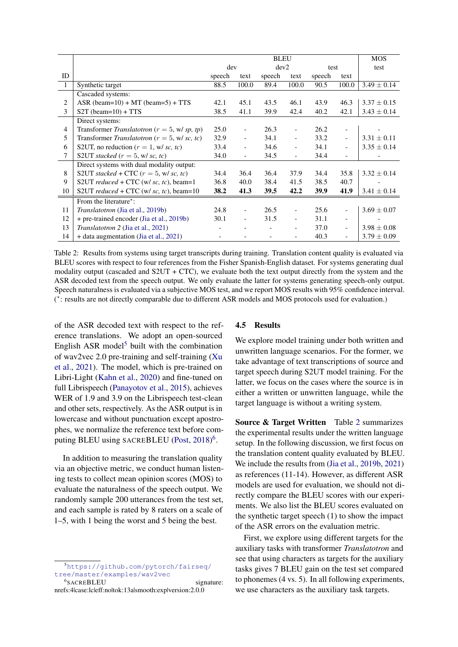<span id="page-5-2"></span>

|                |                                                  | <b>BLEU</b> |                          |        |                          |        | <b>MOS</b>               |                 |
|----------------|--------------------------------------------------|-------------|--------------------------|--------|--------------------------|--------|--------------------------|-----------------|
|                |                                                  | dev         |                          | dev2   |                          | test   |                          | test            |
| ID             |                                                  | speech      | text                     | speech | text                     | speech | text                     |                 |
| $\overline{1}$ | Synthetic target                                 | 88.5        | 100.0                    | 89.4   | 100.0                    | 90.5   | 100.0                    | $3.49 \pm 0.14$ |
|                | Cascaded systems:                                |             |                          |        |                          |        |                          |                 |
| 2              | ASR (beam= $10$ ) + MT (beam= $5$ ) + TTS        | 42.1        | 45.1                     | 43.5   | 46.1                     | 43.9   | 46.3                     | $3.37 \pm 0.15$ |
| 3              | $S2T$ (beam=10) + TTS                            | 38.5        | 41.1                     | 39.9   | 42.4                     | 40.2   | 42.1                     | $3.43 \pm 0.14$ |
|                | Direct systems:                                  |             |                          |        |                          |        |                          |                 |
| 4              | Transformer Translatotron ( $r = 5$ , w/sp, tp)  | 25.0        | $\overline{\phantom{0}}$ | 26.3   | $\overline{\phantom{a}}$ | 26.2   | $\overline{\phantom{a}}$ |                 |
| 5              | Transformer Translatotron ( $r = 5$ , w/ sc, tc) |             | $\overline{a}$           | 34.1   | $\overline{\phantom{0}}$ | 33.2   | $\overline{\phantom{0}}$ | $3.31 \pm 0.11$ |
| 6              | S2UT, no reduction ( $r = 1$ , w/ sc, tc)        |             | $\overline{\phantom{a}}$ | 34.6   | $\overline{\phantom{a}}$ | 34.1   | $\overline{\phantom{a}}$ | $3.35 \pm 0.14$ |
| 7              | S2UT stacked $(r = 5, w/sc, tc)$                 |             | $\overline{\phantom{0}}$ | 34.5   | $\overline{\phantom{0}}$ | 34.4   | $\overline{\phantom{0}}$ |                 |
|                | Direct systems with dual modality output:        |             |                          |        |                          |        |                          |                 |
| 8              | S2UT stacked + CTC $(r = 5, w/sc, tc)$           | 34.4        | 36.4                     | 36.4   | 37.9                     | 34.4   | 35.8                     | $3.32 \pm 0.14$ |
| 9              | S2UT reduced + CTC (w/ sc, tc), beam=1           | 36.8        | 40.0                     | 38.4   | 41.5                     | 38.5   | 40.7                     |                 |
| 10             | S2UT reduced + CTC (w/ sc, tc), beam=10          | 38.2        | 41.3                     | 39.5   | 42.2                     | 39.9   | 41.9                     | $3.41 \pm 0.14$ |
|                | From the literature <sup>*</sup> :               |             |                          |        |                          |        |                          |                 |
| 11             | <i>Translatotron</i> (Jia et al., 2019b)         | 24.8        |                          | 26.5   |                          | 25.6   | $\overline{\phantom{0}}$ | $3.69 \pm 0.07$ |
| 12             | + pre-trained encoder (Jia et al., 2019b)        | 30.1        | $\overline{\phantom{a}}$ | 31.5   | $\overline{\phantom{0}}$ | 31.1   | $\overline{\phantom{0}}$ |                 |
| 13             | <i>Translatotron 2 (Jia et al., 2021)</i>        |             |                          |        | $\overline{\phantom{0}}$ | 37.0   | $\overline{\phantom{0}}$ | $3.98 \pm 0.08$ |
| 14             | + data augmentation (Jia et al., 2021)           |             |                          |        | $\overline{\phantom{0}}$ | 40.3   | $\overline{\phantom{0}}$ | $3.79 \pm 0.09$ |

Table 2: Results from systems using target transcripts during training. Translation content quality is evaluated via BLEU scores with respect to four references from the Fisher Spanish-English dataset. For systems generating dual modality output (cascaded and  $S2UT + CTC$ ), we evaluate both the text output directly from the system and the ASR decoded text from the speech output. We only evaluate the latter for systems generating speech-only output. Speech naturalness is evaluated via a subjective MOS test, and we report MOS results with 95% confidence interval. ( ∗ : results are not directly comparable due to different ASR models and MOS protocols used for evaluation.)

of the ASR decoded text with respect to the reference translations. We adopt an open-sourced English ASR model<sup>[5](#page-5-0)</sup> built with the combination of wav2vec 2.0 pre-training and self-training [\(Xu](#page-10-8) [et al.,](#page-10-8) [2021\)](#page-10-8). The model, which is pre-trained on Libri-Light [\(Kahn et al.,](#page-9-18) [2020\)](#page-9-18) and fine-tuned on full Librispeech [\(Panayotov et al.,](#page-9-13) [2015\)](#page-9-13), achieves WER of 1.9 and 3.9 on the Librispeech test-clean and other sets, respectively. As the ASR output is in lowercase and without punctuation except apostrophes, we normalize the reference text before com-puting BLEU using SACREBLEU [\(Post,](#page-9-19) [2018\)](#page-9-19)<sup>[6](#page-5-1)</sup>.

In addition to measuring the translation quality via an objective metric, we conduct human listening tests to collect mean opinion scores (MOS) to evaluate the naturalness of the speech output. We randomly sample 200 utterances from the test set, and each sample is rated by 8 raters on a scale of 1–5, with 1 being the worst and 5 being the best.

## 4.5 Results

We explore model training under both written and unwritten language scenarios. For the former, we take advantage of text transcriptions of source and target speech during S2UT model training. For the latter, we focus on the cases where the source is in either a written or unwritten language, while the target language is without a writing system.

Source & Target Written Table [2](#page-5-2) summarizes the experimental results under the written language setup. In the following discussion, we first focus on the translation content quality evaluated by BLEU. We include the results from [\(Jia et al.,](#page-9-0) [2019b,](#page-9-0) [2021\)](#page-9-1) as references (11-14). However, as different ASR models are used for evaluation, we should not directly compare the BLEU scores with our experiments. We also list the BLEU scores evaluated on the synthetic target speech (1) to show the impact of the ASR errors on the evaluation metric.

First, we explore using different targets for the auxiliary tasks with transformer *Translatotron* and see that using characters as targets for the auxiliary tasks gives 7 BLEU gain on the test set compared to phonemes (4 vs. 5). In all following experiments, we use characters as the auxiliary task targets.

<span id="page-5-0"></span><sup>5</sup>[https://github.com/pytorch/fairseq/](https://github.com/pytorch/fairseq/tree/master/examples/wav2vec) [tree/master/examples/wav2vec](https://github.com/pytorch/fairseq/tree/master/examples/wav2vec)

<span id="page-5-1"></span><sup>&</sup>lt;sup>6</sup>SACREBLEU signature: nrefs:4|case:lc|eff:no|tok:13a|smooth:exp|version:2.0.0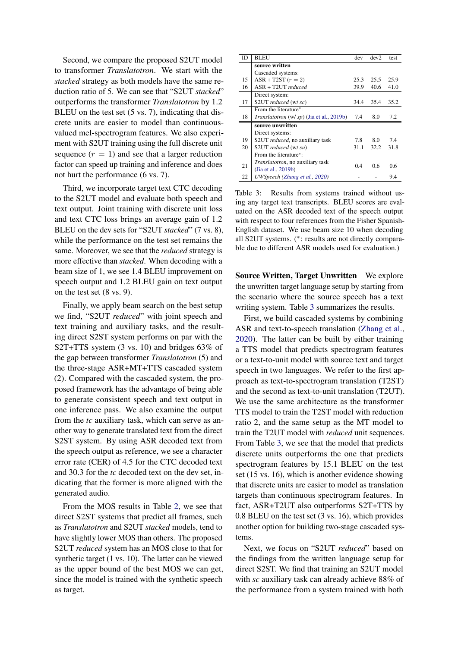Second, we compare the proposed S2UT model to transformer *Translatotron*. We start with the *stacked* strategy as both models have the same reduction ratio of 5. We can see that "S2UT *stacked*" outperforms the transformer *Translatotron* by 1.2 BLEU on the test set (5 vs. 7), indicating that discrete units are easier to model than continuousvalued mel-spectrogram features. We also experiment with S2UT training using the full discrete unit sequence  $(r = 1)$  and see that a larger reduction factor can speed up training and inference and does not hurt the performance (6 vs. 7).

Third, we incorporate target text CTC decoding to the S2UT model and evaluate both speech and text output. Joint training with discrete unit loss and text CTC loss brings an average gain of 1.2 BLEU on the dev sets for "S2UT *stacked*" (7 vs. 8), while the performance on the test set remains the same. Moreover, we see that the *reduced* strategy is more effective than *stacked*. When decoding with a beam size of 1, we see 1.4 BLEU improvement on speech output and 1.2 BLEU gain on text output on the test set (8 vs. 9).

Finally, we apply beam search on the best setup we find, "S2UT *reduced*" with joint speech and text training and auxiliary tasks, and the resulting direct S2ST system performs on par with the S2T+TTS system (3 vs. 10) and bridges 63% of the gap between transformer *Translatotron* (5) and the three-stage ASR+MT+TTS cascaded system (2). Compared with the cascaded system, the proposed framework has the advantage of being able to generate consistent speech and text output in one inference pass. We also examine the output from the *tc* auxiliary task, which can serve as another way to generate translated text from the direct S2ST system. By using ASR decoded text from the speech output as reference, we see a character error rate (CER) of 4.5 for the CTC decoded text and 30.3 for the *tc* decoded text on the dev set, indicating that the former is more aligned with the generated audio.

From the MOS results in Table [2,](#page-5-2) we see that direct S2ST systems that predict all frames, such as *Translatotron* and S2UT *stacked* models, tend to have slightly lower MOS than others. The proposed S2UT *reduced* system has an MOS close to that for synthetic target (1 vs. 10). The latter can be viewed as the upper bound of the best MOS we can get, since the model is trained with the synthetic speech as target.

<span id="page-6-0"></span>

| ID | <b>BLEU</b>                               | dev  | dev2 | test |
|----|-------------------------------------------|------|------|------|
|    | source written                            |      |      |      |
|    | Cascaded systems:                         |      |      |      |
| 15 | $ASR + T2ST$ ( $r = 2$ )                  | 25.3 | 25.5 | 25.9 |
| 16 | $ASR + T2UTT$ reduced                     | 39.9 | 40.6 | 41.0 |
|    | Direct system:                            |      |      |      |
| 17 | S2UT reduced (w/ sc)                      | 34.4 | 35.4 | 35.2 |
|    | From the literature <sup>*</sup> :        |      |      |      |
| 18 | Translatotron (w/ sp) (Jia et al., 2019b) | 7.4  | 8.0  | 7.2  |
|    | source unwritten                          |      |      |      |
|    | Direct systems:                           |      |      |      |
| 19 | S2UT <i>reduced</i> , no auxiliary task   | 7.8  | 8.0  | 7.4  |
| 20 | S2UT reduced (w/ su)                      | 31.1 | 32.2 | 31.8 |
|    | From the literature <sup>*</sup> :        |      |      |      |
| 21 | Translatotron, no auxiliary task          | 0.4  | 0.6  | 0.6  |
|    | (Jia et al., 2019b)                       |      |      |      |
| 22 | UWSpeech (Zhang et al., 2020)             |      |      | 9.4  |

Table 3: Results from systems trained without using any target text transcripts. BLEU scores are evaluated on the ASR decoded text of the speech output with respect to four references from the Fisher Spanish-English dataset. We use beam size 10 when decoding all S2UT systems. (<sup>∗</sup> : results are not directly comparable due to different ASR models used for evaluation.)

Source Written, Target Unwritten We explore the unwritten target language setup by starting from the scenario where the source speech has a text writing system. Table [3](#page-6-0) summarizes the results.

First, we build cascaded systems by combining ASR and text-to-speech translation [\(Zhang et al.,](#page-10-1) [2020\)](#page-10-1). The latter can be built by either training a TTS model that predicts spectrogram features or a text-to-unit model with source text and target speech in two languages. We refer to the first approach as text-to-spectrogram translation (T2ST) and the second as text-to-unit translation (T2UT). We use the same architecture as the transformer TTS model to train the T2ST model with reduction ratio 2, and the same setup as the MT model to train the T2UT model with *reduced* unit sequences. From Table [3,](#page-6-0) we see that the model that predicts discrete units outperforms the one that predicts spectrogram features by 15.1 BLEU on the test set (15 vs. 16), which is another evidence showing that discrete units are easier to model as translation targets than continuous spectrogram features. In fact, ASR+T2UT also outperforms S2T+TTS by 0.8 BLEU on the test set (3 vs. 16), which provides another option for building two-stage cascaded systems.

Next, we focus on "S2UT *reduced*" based on the findings from the written language setup for direct S2ST. We find that training an S2UT model with *sc* auxiliary task can already achieve 88% of the performance from a system trained with both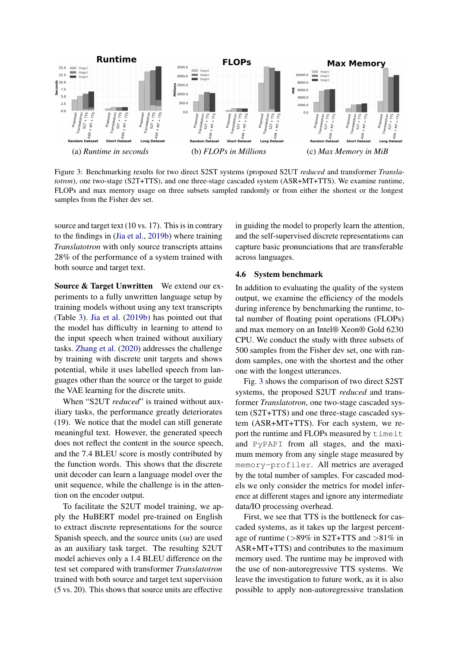<span id="page-7-0"></span>

Figure 3: Benchmarking results for two direct S2ST systems (proposed S2UT *reduced* and transformer *Translatotron*), one two-stage (S2T+TTS), and one three-stage cascaded system (ASR+MT+TTS). We examine runtime, FLOPs and max memory usage on three subsets sampled randomly or from either the shortest or the longest samples from the Fisher dev set.

source and target text (10 vs. 17). This is in contrary to the findings in [\(Jia et al.,](#page-9-0) [2019b\)](#page-9-0) where training *Translatotron* with only source transcripts attains 28% of the performance of a system trained with both source and target text.

Source & Target Unwritten We extend our experiments to a fully unwritten language setup by training models without using any text transcripts (Table [3\)](#page-6-0). [Jia et al.](#page-9-0) [\(2019b\)](#page-9-0) has pointed out that the model has difficulty in learning to attend to the input speech when trained without auxiliary tasks. [Zhang et al.](#page-10-1) [\(2020\)](#page-10-1) addresses the challenge by training with discrete unit targets and shows potential, while it uses labelled speech from languages other than the source or the target to guide the VAE learning for the discrete units.

When "S2UT *reduced*" is trained without auxiliary tasks, the performance greatly deteriorates (19). We notice that the model can still generate meaningful text. However, the generated speech does not reflect the content in the source speech, and the 7.4 BLEU score is mostly contributed by the function words. This shows that the discrete unit decoder can learn a language model over the unit sequence, while the challenge is in the attention on the encoder output.

To facilitate the S2UT model training, we apply the HuBERT model pre-trained on English to extract discrete representations for the source Spanish speech, and the source units (*su*) are used as an auxiliary task target. The resulting S2UT model achieves only a 1.4 BLEU difference on the test set compared with transformer *Translatotron* trained with both source and target text supervision (5 vs. 20). This shows that source units are effective

in guiding the model to properly learn the attention, and the self-supervised discrete representations can capture basic pronunciations that are transferable across languages.

### 4.6 System benchmark

In addition to evaluating the quality of the system output, we examine the efficiency of the models during inference by benchmarking the runtime, total number of floating point operations (FLOPs) and max memory on an Intel® Xeon® Gold 6230 CPU. We conduct the study with three subsets of 500 samples from the Fisher dev set, one with random samples, one with the shortest and the other one with the longest utterances.

Fig. [3](#page-7-0) shows the comparison of two direct S2ST systems, the proposed S2UT *reduced* and transformer *Translatotron*, one two-stage cascaded system (S2T+TTS) and one three-stage cascaded system (ASR+MT+TTS). For each system, we report the runtime and FLOPs measured by timeit and PyPAPI from all stages, and the maximum memory from any single stage measured by memory-profiler. All metrics are averaged by the total number of samples. For cascaded models we only consider the metrics for model inference at different stages and ignore any intermediate data/IO processing overhead.

First, we see that TTS is the bottleneck for cascaded systems, as it takes up the largest percentage of runtime (>89% in S2T+TTS and >81% in ASR+MT+TTS) and contributes to the maximum memory used. The runtime may be improved with the use of non-autoregressive TTS systems. We leave the investigation to future work, as it is also possible to apply non-autoregressive translation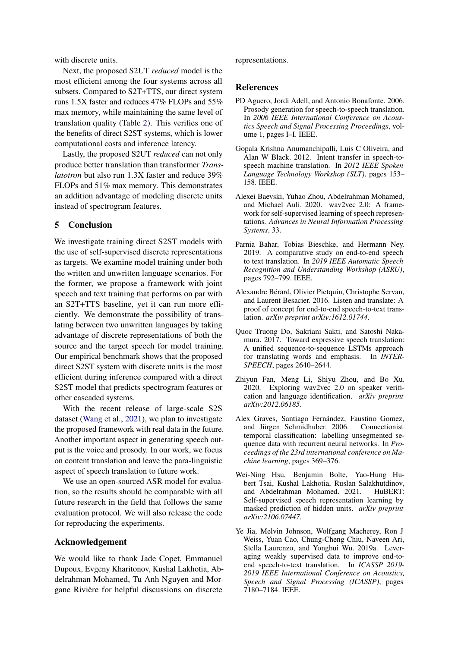with discrete units.

Next, the proposed S2UT *reduced* model is the most efficient among the four systems across all subsets. Compared to S2T+TTS, our direct system runs 1.5X faster and reduces 47% FLOPs and 55% max memory, while maintaining the same level of translation quality (Table [2\)](#page-5-2). This verifies one of the benefits of direct S2ST systems, which is lower computational costs and inference latency.

Lastly, the proposed S2UT *reduced* can not only produce better translation than transformer *Translatotron* but also run 1.3X faster and reduce 39% FLOPs and 51% max memory. This demonstrates an addition advantage of modeling discrete units instead of spectrogram features.

## <span id="page-8-5"></span>5 Conclusion

We investigate training direct S2ST models with the use of self-supervised discrete representations as targets. We examine model training under both the written and unwritten language scenarios. For the former, we propose a framework with joint speech and text training that performs on par with an S2T+TTS baseline, yet it can run more efficiently. We demonstrate the possibility of translating between two unwritten languages by taking advantage of discrete representations of both the source and the target speech for model training. Our empirical benchmark shows that the proposed direct S2ST system with discrete units is the most efficient during inference compared with a direct S2ST model that predicts spectrogram features or other cascaded systems.

With the recent release of large-scale S2S dataset [\(Wang et al.,](#page-10-9) [2021\)](#page-10-9), we plan to investigate the proposed framework with real data in the future. Another important aspect in generating speech output is the voice and prosody. In our work, we focus on content translation and leave the para-linguistic aspect of speech translation to future work.

We use an open-sourced ASR model for evaluation, so the results should be comparable with all future research in the field that follows the same evaluation protocol. We will also release the code for reproducing the experiments.

## Acknowledgement

We would like to thank Jade Copet, Emmanuel Dupoux, Evgeny Kharitonov, Kushal Lakhotia, Abdelrahman Mohamed, Tu Anh Nguyen and Morgane Rivière for helpful discussions on discrete

representations.

#### References

- <span id="page-8-8"></span>PD Aguero, Jordi Adell, and Antonio Bonafonte. 2006. Prosody generation for speech-to-speech translation. In *2006 IEEE International Conference on Acoustics Speech and Signal Processing Proceedings*, volume 1, pages I–I. IEEE.
- <span id="page-8-9"></span>Gopala Krishna Anumanchipalli, Luis C Oliveira, and Alan W Black. 2012. Intent transfer in speech-tospeech machine translation. In *2012 IEEE Spoken Language Technology Workshop (SLT)*, pages 153– 158. IEEE.
- <span id="page-8-1"></span>Alexei Baevski, Yuhao Zhou, Abdelrahman Mohamed, and Michael Auli. 2020. wav2vec 2.0: A framework for self-supervised learning of speech representations. *Advances in Neural Information Processing Systems*, 33.
- <span id="page-8-6"></span>Parnia Bahar, Tobias Bieschke, and Hermann Ney. 2019. A comparative study on end-to-end speech to text translation. In *2019 IEEE Automatic Speech Recognition and Understanding Workshop (ASRU)*, pages 792–799. IEEE.
- <span id="page-8-0"></span>Alexandre Bérard, Olivier Pietquin, Christophe Servan, and Laurent Besacier. 2016. Listen and translate: A proof of concept for end-to-end speech-to-text translation. *arXiv preprint arXiv:1612.01744*.
- <span id="page-8-10"></span>Quoc Truong Do, Sakriani Sakti, and Satoshi Nakamura. 2017. Toward expressive speech translation: A unified sequence-to-sequence LSTMs approach for translating words and emphasis. In *INTER-SPEECH*, pages 2640–2644.
- <span id="page-8-3"></span>Zhiyun Fan, Meng Li, Shiyu Zhou, and Bo Xu. 2020. Exploring wav2vec 2.0 on speaker verification and language identification. *arXiv preprint arXiv:2012.06185*.
- <span id="page-8-4"></span>Alex Graves, Santiago Fernández, Faustino Gomez, and Jürgen Schmidhuber. 2006. Connectionist temporal classification: labelling unsegmented sequence data with recurrent neural networks. In *Proceedings of the 23rd international conference on Machine learning*, pages 369–376.
- <span id="page-8-2"></span>Wei-Ning Hsu, Benjamin Bolte, Yao-Hung Hubert Tsai, Kushal Lakhotia, Ruslan Salakhutdinov, and Abdelrahman Mohamed. 2021. HuBERT: Self-supervised speech representation learning by masked prediction of hidden units. *arXiv preprint arXiv:2106.07447*.
- <span id="page-8-7"></span>Ye Jia, Melvin Johnson, Wolfgang Macherey, Ron J Weiss, Yuan Cao, Chung-Cheng Chiu, Naveen Ari, Stella Laurenzo, and Yonghui Wu. 2019a. Leveraging weakly supervised data to improve end-toend speech-to-text translation. In *ICASSP 2019- 2019 IEEE International Conference on Acoustics, Speech and Signal Processing (ICASSP)*, pages 7180–7184. IEEE.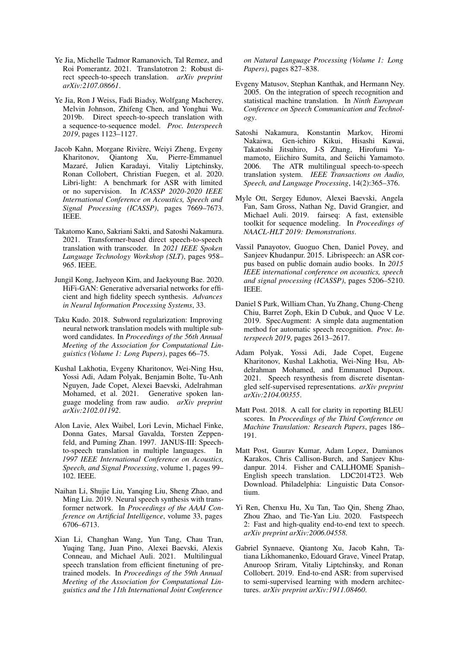- <span id="page-9-1"></span>Ye Jia, Michelle Tadmor Ramanovich, Tal Remez, and Roi Pomerantz. 2021. Translatotron 2: Robust direct speech-to-speech translation. *arXiv preprint arXiv:2107.08661*.
- <span id="page-9-0"></span>Ye Jia, Ron J Weiss, Fadi Biadsy, Wolfgang Macherey, Melvin Johnson, Zhifeng Chen, and Yonghui Wu. 2019b. Direct speech-to-speech translation with a sequence-to-sequence model. *Proc. Interspeech 2019*, pages 1123–1127.
- <span id="page-9-18"></span>Jacob Kahn, Morgane Rivière, Weiyi Zheng, Evgeny Kharitonov, Qiantong Xu, Pierre-Emmanuel Mazaré, Julien Karadayi, Vitaliy Liptchinsky, Ronan Collobert, Christian Fuegen, et al. 2020. Libri-light: A benchmark for ASR with limited or no supervision. In *ICASSP 2020-2020 IEEE International Conference on Acoustics, Speech and Signal Processing (ICASSP)*, pages 7669–7673. IEEE.
- <span id="page-9-8"></span>Takatomo Kano, Sakriani Sakti, and Satoshi Nakamura. 2021. Transformer-based direct speech-to-speech translation with transcoder. In *2021 IEEE Spoken Language Technology Workshop (SLT)*, pages 958– 965. IEEE.
- <span id="page-9-10"></span>Jungil Kong, Jaehyeon Kim, and Jaekyoung Bae. 2020. HiFi-GAN: Generative adversarial networks for efficient and high fidelity speech synthesis. *Advances in Neural Information Processing Systems*, 33.
- <span id="page-9-15"></span>Taku Kudo. 2018. Subword regularization: Improving neural network translation models with multiple subword candidates. In *Proceedings of the 56th Annual Meeting of the Association for Computational Linguistics (Volume 1: Long Papers)*, pages 66–75.
- <span id="page-9-2"></span>Kushal Lakhotia, Evgeny Kharitonov, Wei-Ning Hsu, Yossi Adi, Adam Polyak, Benjamin Bolte, Tu-Anh Nguyen, Jade Copet, Alexei Baevski, Adelrahman Mohamed, et al. 2021. Generative spoken language modeling from raw audio. *arXiv preprint arXiv:2102.01192*.
- <span id="page-9-4"></span>Alon Lavie, Alex Waibel, Lori Levin, Michael Finke, Donna Gates, Marsal Gavalda, Torsten Zeppenfeld, and Puming Zhan. 1997. JANUS-III: Speechto-speech translation in multiple languages. In *1997 IEEE International Conference on Acoustics, Speech, and Signal Processing*, volume 1, pages 99– 102. IEEE.
- <span id="page-9-17"></span>Naihan Li, Shujie Liu, Yanqing Liu, Sheng Zhao, and Ming Liu. 2019. Neural speech synthesis with transformer network. In *Proceedings of the AAAI Conference on Artificial Intelligence*, volume 33, pages 6706–6713.
- <span id="page-9-7"></span>Xian Li, Changhan Wang, Yun Tang, Chau Tran, Yuqing Tang, Juan Pino, Alexei Baevski, Alexis Conneau, and Michael Auli. 2021. Multilingual speech translation from efficient finetuning of pretrained models. In *Proceedings of the 59th Annual Meeting of the Association for Computational Linguistics and the 11th International Joint Conference*

*on Natural Language Processing (Volume 1: Long Papers)*, pages 827–838.

- <span id="page-9-6"></span>Evgeny Matusov, Stephan Kanthak, and Hermann Ney. 2005. On the integration of speech recognition and statistical machine translation. In *Ninth European Conference on Speech Communication and Technology*.
- <span id="page-9-5"></span>Satoshi Nakamura, Konstantin Markov, Hiromi Nakaiwa, Gen-ichiro Kikui, Hisashi Kawai, Takatoshi Jitsuhiro, J-S Zhang, Hirofumi Yamamoto, Eiichiro Sumita, and Seiichi Yamamoto. 2006. The ATR multilingual speech-to-speech translation system. *IEEE Transactions on Audio, Speech, and Language Processing*, 14(2):365–376.
- <span id="page-9-16"></span>Myle Ott, Sergey Edunov, Alexei Baevski, Angela Fan, Sam Gross, Nathan Ng, David Grangier, and Michael Auli. 2019. fairseq: A fast, extensible toolkit for sequence modeling. In *Proceedings of NAACL-HLT 2019: Demonstrations*.
- <span id="page-9-13"></span>Vassil Panayotov, Guoguo Chen, Daniel Povey, and Sanjeev Khudanpur. 2015. Librispeech: an ASR corpus based on public domain audio books. In *2015 IEEE international conference on acoustics, speech and signal processing (ICASSP)*, pages 5206–5210. IEEE.
- <span id="page-9-14"></span>Daniel S Park, William Chan, Yu Zhang, Chung-Cheng Chiu, Barret Zoph, Ekin D Cubuk, and Quoc V Le. 2019. SpecAugment: A simple data augmentation method for automatic speech recognition. *Proc. Interspeech 2019*, pages 2613–2617.
- <span id="page-9-3"></span>Adam Polyak, Yossi Adi, Jade Copet, Eugene Kharitonov, Kushal Lakhotia, Wei-Ning Hsu, Abdelrahman Mohamed, and Emmanuel Dupoux. 2021. Speech resynthesis from discrete disentangled self-supervised representations. *arXiv preprint arXiv:2104.00355*.
- <span id="page-9-19"></span>Matt Post. 2018. A call for clarity in reporting BLEU scores. In *Proceedings of the Third Conference on Machine Translation: Research Papers*, pages 186– 191.
- <span id="page-9-12"></span>Matt Post, Gaurav Kumar, Adam Lopez, Damianos Karakos, Chris Callison-Burch, and Sanjeev Khudanpur. 2014. Fisher and CALLHOME Spanish– English speech translation. LDC2014T23. Web Download. Philadelphia: Linguistic Data Consortium.
- <span id="page-9-11"></span>Yi Ren, Chenxu Hu, Xu Tan, Tao Qin, Sheng Zhao, Zhou Zhao, and Tie-Yan Liu. 2020. Fastspeech 2: Fast and high-quality end-to-end text to speech. *arXiv preprint arXiv:2006.04558*.
- <span id="page-9-9"></span>Gabriel Synnaeve, Qiantong Xu, Jacob Kahn, Tatiana Likhomanenko, Edouard Grave, Vineel Pratap, Anuroop Sriram, Vitaliy Liptchinsky, and Ronan Collobert. 2019. End-to-end ASR: from supervised to semi-supervised learning with modern architectures. *arXiv preprint arXiv:1911.08460*.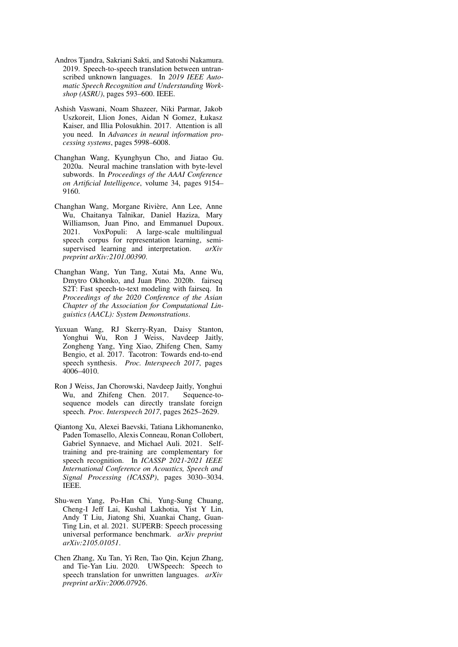- <span id="page-10-0"></span>Andros Tjandra, Sakriani Sakti, and Satoshi Nakamura. 2019. Speech-to-speech translation between untranscribed unknown languages. In *2019 IEEE Automatic Speech Recognition and Understanding Workshop (ASRU)*, pages 593–600. IEEE.
- <span id="page-10-4"></span>Ashish Vaswani, Noam Shazeer, Niki Parmar, Jakob Uszkoreit, Llion Jones, Aidan N Gomez, Łukasz Kaiser, and Illia Polosukhin. 2017. Attention is all you need. In *Advances in neural information processing systems*, pages 5998–6008.
- <span id="page-10-7"></span>Changhan Wang, Kyunghyun Cho, and Jiatao Gu. 2020a. Neural machine translation with byte-level subwords. In *Proceedings of the AAAI Conference on Artificial Intelligence*, volume 34, pages 9154– 9160.
- <span id="page-10-9"></span>Changhan Wang, Morgane Rivière, Ann Lee, Anne Wu, Chaitanya Talnikar, Daniel Haziza, Mary Williamson, Juan Pino, and Emmanuel Dupoux. 2021. VoxPopuli: A large-scale multilingual speech corpus for representation learning, semisupervised learning and interpretation. *arXiv preprint arXiv:2101.00390*.
- <span id="page-10-6"></span>Changhan Wang, Yun Tang, Xutai Ma, Anne Wu, Dmytro Okhonko, and Juan Pino. 2020b. fairseq S2T: Fast speech-to-text modeling with fairseq. In *Proceedings of the 2020 Conference of the Asian Chapter of the Association for Computational Linguistics (AACL): System Demonstrations*.
- <span id="page-10-5"></span>Yuxuan Wang, RJ Skerry-Ryan, Daisy Stanton, Yonghui Wu, Ron J Weiss, Navdeep Jaitly, Zongheng Yang, Ying Xiao, Zhifeng Chen, Samy Bengio, et al. 2017. Tacotron: Towards end-to-end speech synthesis. *Proc. Interspeech 2017*, pages 4006–4010.
- <span id="page-10-3"></span>Ron J Weiss, Jan Chorowski, Navdeep Jaitly, Yonghui Wu, and Zhifeng Chen. 2017. Sequence-tosequence models can directly translate foreign speech. *Proc. Interspeech 2017*, pages 2625–2629.
- <span id="page-10-8"></span>Qiantong Xu, Alexei Baevski, Tatiana Likhomanenko, Paden Tomasello, Alexis Conneau, Ronan Collobert, Gabriel Synnaeve, and Michael Auli. 2021. Selftraining and pre-training are complementary for speech recognition. In *ICASSP 2021-2021 IEEE International Conference on Acoustics, Speech and Signal Processing (ICASSP)*, pages 3030–3034. IEEE.
- <span id="page-10-2"></span>Shu-wen Yang, Po-Han Chi, Yung-Sung Chuang, Cheng-I Jeff Lai, Kushal Lakhotia, Yist Y Lin, Andy T Liu, Jiatong Shi, Xuankai Chang, Guan-Ting Lin, et al. 2021. SUPERB: Speech processing universal performance benchmark. *arXiv preprint arXiv:2105.01051*.
- <span id="page-10-1"></span>Chen Zhang, Xu Tan, Yi Ren, Tao Qin, Kejun Zhang, and Tie-Yan Liu. 2020. UWSpeech: Speech to speech translation for unwritten languages. *arXiv preprint arXiv:2006.07926*.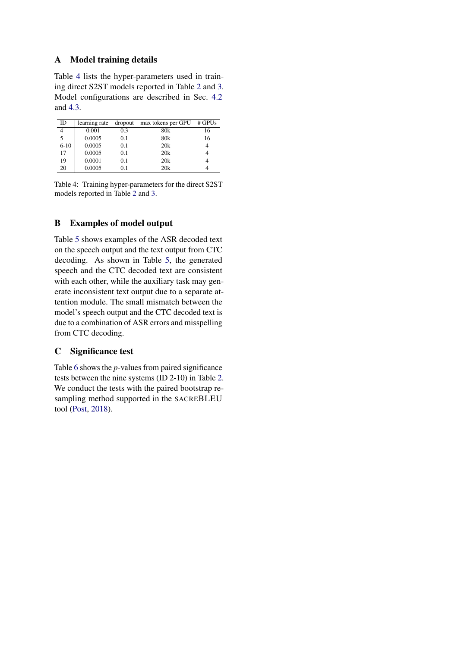# A Model training details

Table [4](#page-11-0) lists the hyper-parameters used in training direct S2ST models reported in Table [2](#page-5-2) and [3.](#page-6-0) Model configurations are described in Sec. [4.2](#page-3-3) and [4.3.](#page-4-3)

<span id="page-11-0"></span>

| ID       | learning rate | dropout | $max$ tokens per GPU # GPUs |    |
|----------|---------------|---------|-----------------------------|----|
| 4        | 0.001         | 0.3     | 80k                         |    |
|          |               |         |                             | 16 |
| 5        | 0.0005        | 0.1     | 80 <sub>k</sub>             | 16 |
| $6 - 10$ | 0.0005        | 0.1     | 20k                         |    |
| 17       | 0.0005        | 0.1     | 20k                         |    |
| 19       | 0.0001        | 0.1     | 20k                         |    |
| 20       | 0.0005        | 01      | 20k                         |    |

Table 4: Training hyper-parameters for the direct S2ST models reported in Table [2](#page-5-2) and [3.](#page-6-0)

# B Examples of model output

Table [5](#page-0-1) shows examples of the ASR decoded text on the speech output and the text output from CTC decoding. As shown in Table [5,](#page-0-1) the generated speech and the CTC decoded text are consistent with each other, while the auxiliary task may generate inconsistent text output due to a separate attention module. The small mismatch between the model's speech output and the CTC decoded text is due to a combination of ASR errors and misspelling from CTC decoding.

# C Significance test

Table [6](#page-12-0) shows the *p*-values from paired significance tests between the nine systems (ID 2-10) in Table [2.](#page-5-2) We conduct the tests with the paired bootstrap resampling method supported in the SACREBLEU tool [\(Post,](#page-9-19) [2018\)](#page-9-19).